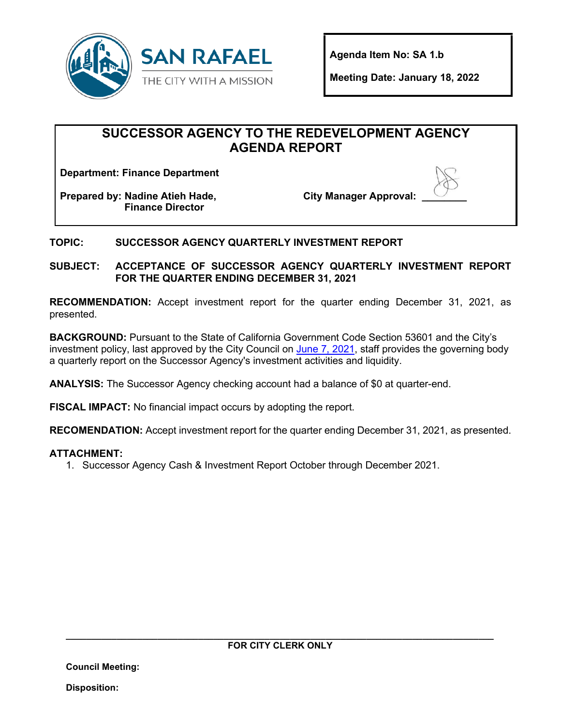

**Agenda Item No: SA 1.b** 

**Meeting Date: January 18, 2022**

# **SUCCESSOR AGENCY TO THE REDEVELOPMENT AGENCY AGENDA REPORT**

**Department: Finance Department**

**Prepared by: Nadine Atieh Hade, Finance Director**

**City Manager Approval:** 



### **TOPIC: SUCCESSOR AGENCY QUARTERLY INVESTMENT REPORT**

**SUBJECT: ACCEPTANCE OF SUCCESSOR AGENCY QUARTERLY INVESTMENT REPORT FOR THE QUARTER ENDING DECEMBER 31, 2021**

**RECOMMENDATION:** Accept investment report for the quarter ending December 31, 2021, as presented.

**BACKGROUND:** Pursuant to the State of California Government Code Section 53601 and the City's investment policy, last approved by the City Council on [June 7, 2021,](https://publicrecords.cityofsanrafael.org/WebLink/DocView.aspx?id=33129&dbid=0&repo=CityofSanRafael&cr=1) staff provides the governing body a quarterly report on the Successor Agency's investment activities and liquidity.

**ANALYSIS:** The Successor Agency checking account had a balance of \$0 at quarter-end.

**FISCAL IMPACT:** No financial impact occurs by adopting the report.

**RECOMENDATION:** Accept investment report for the quarter ending December 31, 2021, as presented.

#### **ATTACHMENT:**

1. Successor Agency Cash & Investment Report October through December 2021.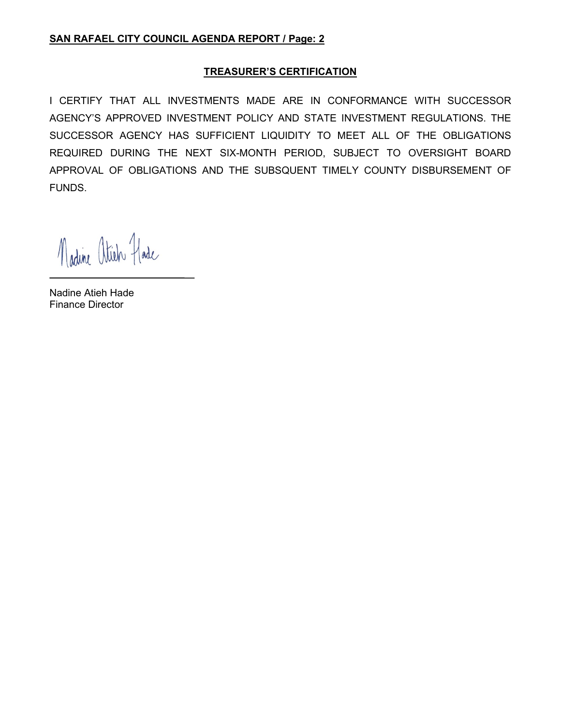#### **TREASURER'S CERTIFICATION**

I CERTIFY THAT ALL INVESTMENTS MADE ARE IN CONFORMANCE WITH SUCCESSOR AGENCY'S APPROVED INVESTMENT POLICY AND STATE INVESTMENT REGULATIONS. THE SUCCESSOR AGENCY HAS SUFFICIENT LIQUIDITY TO MEET ALL OF THE OBLIGATIONS REQUIRED DURING THE NEXT SIX-MONTH PERIOD, SUBJECT TO OVERSIGHT BOARD APPROVAL OF OBLIGATIONS AND THE SUBSQUENT TIMELY COUNTY DISBURSEMENT OF FUNDS.

Madine atich Hade

Nadine Atieh Hade Finance Director